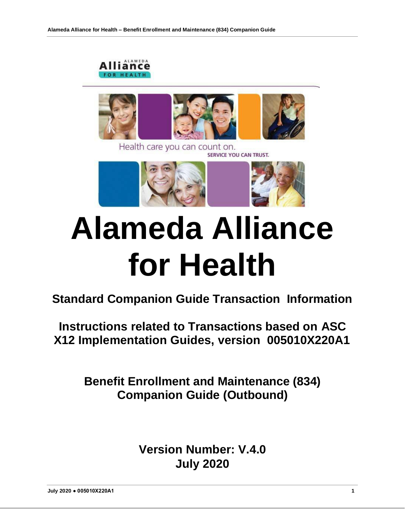



# **Alameda Alliance for Health**

**Standard Companion Guide Transaction Information**

**Instructions related to Transactions based on ASC X12 Implementation Guides, version 005010X220A1**

> **Benefit Enrollment and Maintenance (834) Companion Guide (Outbound)**

> > **Version Number: V.4.0 July 2020**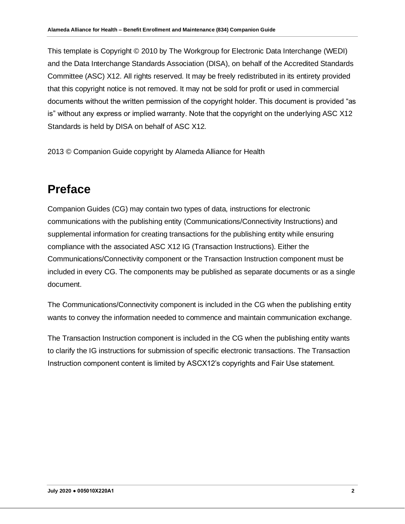This template is Copyright © 2010 by The Workgroup for Electronic Data Interchange (WEDI) and the Data Interchange Standards Association (DISA), on behalf of the Accredited Standards Committee (ASC) X12. All rights reserved. It may be freely redistributed in its entirety provided that this copyright notice is not removed. It may not be sold for profit or used in commercial documents without the written permission of the copyright holder. This document is provided "as is" without any express or implied warranty. Note that the copyright on the underlying ASC X12 Standards is held by DISA on behalf of ASC X12.

2013 © Companion Guide copyright by Alameda Alliance for Health

# **Preface**

Companion Guides (CG) may contain two types of data, instructions for electronic communications with the publishing entity (Communications/Connectivity Instructions) and supplemental information for creating transactions for the publishing entity while ensuring compliance with the associated ASC X12 IG (Transaction Instructions). Either the Communications/Connectivity component or the Transaction Instruction component must be included in every CG. The components may be published as separate documents or as a single document.

The Communications/Connectivity component is included in the CG when the publishing entity wants to convey the information needed to commence and maintain communication exchange.

The Transaction Instruction component is included in the CG when the publishing entity wants to clarify the IG instructions for submission of specific electronic transactions. The Transaction Instruction component content is limited by ASCX12's copyrights and Fair Use statement.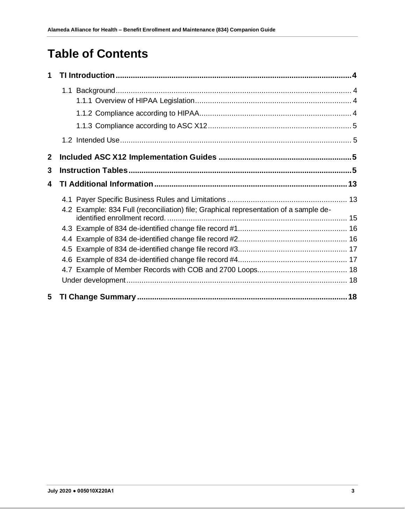# **Table of Contents**

| 1                |                                                                                       |  |
|------------------|---------------------------------------------------------------------------------------|--|
|                  |                                                                                       |  |
|                  |                                                                                       |  |
|                  |                                                                                       |  |
|                  |                                                                                       |  |
|                  |                                                                                       |  |
| $\boldsymbol{2}$ |                                                                                       |  |
| 3                |                                                                                       |  |
| 4                |                                                                                       |  |
|                  |                                                                                       |  |
|                  | 4.2 Example: 834 Full (reconciliation) file; Graphical representation of a sample de- |  |
|                  |                                                                                       |  |
|                  |                                                                                       |  |
|                  |                                                                                       |  |
|                  |                                                                                       |  |
|                  |                                                                                       |  |
|                  |                                                                                       |  |
| 5                |                                                                                       |  |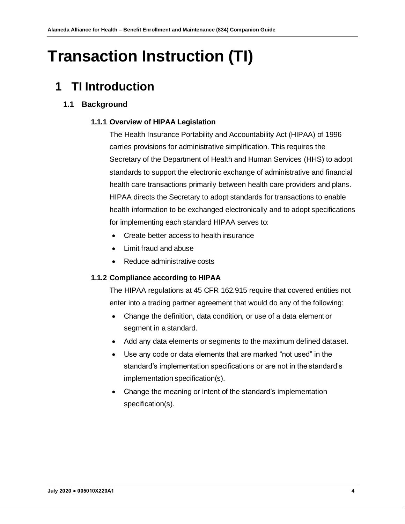# <span id="page-3-0"></span>**Transaction Instruction (TI)**

# <span id="page-3-1"></span>**1 TI Introduction**

# **1.1 Background**

## **1.1.1 Overview of HIPAA Legislation**

The Health Insurance Portability and Accountability Act (HIPAA) of 1996 carries provisions for administrative simplification. This requires the Secretary of the Department of Health and Human Services (HHS) to adopt standards to support the electronic exchange of administrative and financial health care transactions primarily between health care providers and plans. HIPAA directs the Secretary to adopt standards for transactions to enable health information to be exchanged electronically and to adopt specifications for implementing each standard HIPAA serves to:

- Create better access to health insurance
- Limit fraud and abuse
- Reduce administrative costs

# <span id="page-3-2"></span>**1.1.2 Compliance according to HIPAA**

The HIPAA regulations at 45 CFR 162.915 require that covered entities not enter into a trading partner agreement that would do any of the following:

- Change the definition, data condition, or use of a data element or segment in a standard.
- Add any data elements or segments to the maximum defined dataset.
- Use any code or data elements that are marked "not used" in the standard's implementation specifications or are not in the standard's implementation specification(s).
- Change the meaning or intent of the standard's implementation specification(s).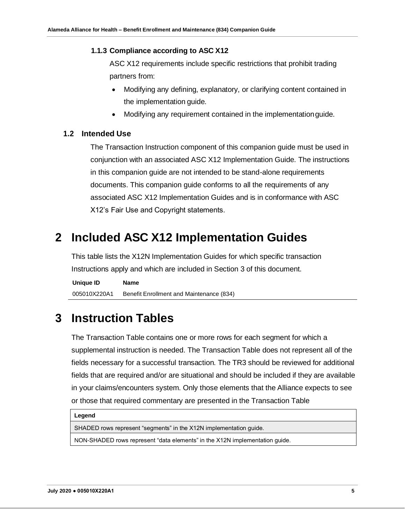#### <span id="page-4-0"></span>**1.1.3 Compliance according to ASC X12**

ASC X12 requirements include specific restrictions that prohibit trading partners from:

- Modifying any defining, explanatory, or clarifying content contained in the implementation guide.
- Modifying any requirement contained in the implementationguide.

## <span id="page-4-1"></span>**1.2 Intended Use**

The Transaction Instruction component of this companion guide must be used in conjunction with an associated ASC X12 Implementation Guide. The instructions in this companion guide are not intended to be stand-alone requirements documents. This companion guide conforms to all the requirements of any associated ASC X12 Implementation Guides and is in conformance with ASC X12's Fair Use and Copyright statements.

# <span id="page-4-2"></span>**2 Included ASC X12 Implementation Guides**

This table lists the X12N Implementation Guides for which specific transaction Instructions apply and which are included in Section 3 of this document.

**Unique ID Name** 005010X220A1 Benefit Enrollment and Maintenance (834)

# <span id="page-4-3"></span>**3 Instruction Tables**

The Transaction Table contains one or more rows for each segment for which a supplemental instruction is needed. The Transaction Table does not represent all of the fields necessary for a successful transaction. The TR3 should be reviewed for additional fields that are required and/or are situational and should be included if they are available in your claims/encounters system. Only those elements that the Alliance expects to see or those that required commentary are presented in the Transaction Table

#### **Legend**

SHADED rows represent "segments" in the X12N implementation guide.

NON-SHADED rows represent "data elements" in the X12N implementation guide.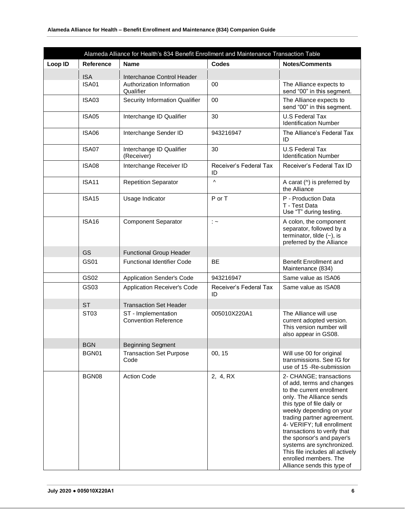|         |                                 | Alameda Alliance for Health's 834 Benefit Enrollment and Maintenance Transaction Table |                              |                                                                                                                                                                                                                                                                                                                                                                                                                         |
|---------|---------------------------------|----------------------------------------------------------------------------------------|------------------------------|-------------------------------------------------------------------------------------------------------------------------------------------------------------------------------------------------------------------------------------------------------------------------------------------------------------------------------------------------------------------------------------------------------------------------|
| Loop ID | Reference                       | <b>Name</b>                                                                            | <b>Codes</b>                 | <b>Notes/Comments</b>                                                                                                                                                                                                                                                                                                                                                                                                   |
|         | <b>ISA</b>                      | Interchange Control Header                                                             |                              |                                                                                                                                                                                                                                                                                                                                                                                                                         |
|         | <b>ISA01</b>                    | Authorization Information<br>Qualifier                                                 | 00                           | The Alliance expects to<br>send "00" in this segment.                                                                                                                                                                                                                                                                                                                                                                   |
|         | ISA03                           | <b>Security Information Qualifier</b>                                                  | 00                           | The Alliance expects to<br>send "00" in this segment.                                                                                                                                                                                                                                                                                                                                                                   |
|         | <b>ISA05</b>                    | Interchange ID Qualifier                                                               | 30                           | <b>U.S Federal Tax</b><br><b>Identification Number</b>                                                                                                                                                                                                                                                                                                                                                                  |
|         | ISA06                           | Interchange Sender ID                                                                  | 943216947                    | The Alliance's Federal Tax<br>ID                                                                                                                                                                                                                                                                                                                                                                                        |
|         | ISA07                           | Interchange ID Qualifier<br>(Receiver)                                                 | 30                           | <b>U.S Federal Tax</b><br><b>Identification Number</b>                                                                                                                                                                                                                                                                                                                                                                  |
|         | <b>ISA08</b>                    | Interchange Receiver ID                                                                | Receiver's Federal Tax<br>ID | Receiver's Federal Tax ID                                                                                                                                                                                                                                                                                                                                                                                               |
|         | <b>ISA11</b>                    | <b>Repetition Separator</b>                                                            | Λ                            | A carat $($ <sup><math>\land</math></sup> ) is preferred by<br>the Alliance                                                                                                                                                                                                                                                                                                                                             |
|         | <b>ISA15</b><br>Usage Indicator |                                                                                        | P or T                       | P - Production Data<br>T - Test Data<br>Use "T" during testing.                                                                                                                                                                                                                                                                                                                                                         |
|         | <b>ISA16</b>                    | <b>Component Separator</b>                                                             | $\therefore$                 | A colon, the component<br>separator, followed by a<br>terminator, tilde $(-)$ , is<br>preferred by the Alliance                                                                                                                                                                                                                                                                                                         |
|         | GS                              | <b>Functional Group Header</b>                                                         |                              |                                                                                                                                                                                                                                                                                                                                                                                                                         |
|         | GS01                            | <b>Functional Identifier Code</b>                                                      | <b>BE</b>                    | <b>Benefit Enrollment and</b><br>Maintenance (834)                                                                                                                                                                                                                                                                                                                                                                      |
|         | GS02                            | <b>Application Sender's Code</b>                                                       | 943216947                    | Same value as ISA06                                                                                                                                                                                                                                                                                                                                                                                                     |
|         | GS03                            | Application Receiver's Code                                                            | Receiver's Federal Tax<br>ID | Same value as ISA08                                                                                                                                                                                                                                                                                                                                                                                                     |
|         | <b>ST</b>                       | <b>Transaction Set Header</b>                                                          |                              |                                                                                                                                                                                                                                                                                                                                                                                                                         |
|         | ST <sub>03</sub>                | ST - Implementation<br><b>Convention Reference</b>                                     | 005010X220A1                 | The Alliance will use<br>current adopted version.<br>This version number will<br>also appear in GS08.                                                                                                                                                                                                                                                                                                                   |
|         | <b>BGN</b>                      | <b>Beginning Segment</b>                                                               |                              |                                                                                                                                                                                                                                                                                                                                                                                                                         |
|         | BGN01                           | <b>Transaction Set Purpose</b><br>Code                                                 | 00, 15                       | Will use 00 for original<br>transmissions. See IG for<br>use of 15 - Re-submission                                                                                                                                                                                                                                                                                                                                      |
|         | BGN08                           | <b>Action Code</b>                                                                     | 2, 4, RX                     | 2- CHANGE; transactions<br>of add, terms and changes<br>to the current enrollment<br>only. The Alliance sends<br>this type of file daily or<br>weekly depending on your<br>trading partner agreement.<br>4- VERIFY; full enrollment<br>transactions to verify that<br>the sponsor's and payer's<br>systems are synchronized.<br>This file includes all actively<br>enrolled members. The<br>Alliance sends this type of |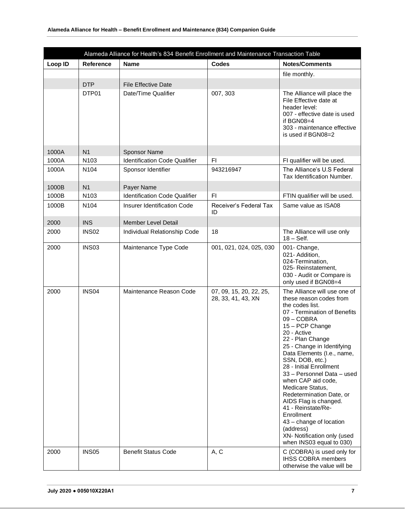|         |                   | Alameda Alliance for Health's 834 Benefit Enrollment and Maintenance Transaction Table |                                               |                                                                                                                                                                                                                                                                                                                                                                                                                                                                                                                                                              |
|---------|-------------------|----------------------------------------------------------------------------------------|-----------------------------------------------|--------------------------------------------------------------------------------------------------------------------------------------------------------------------------------------------------------------------------------------------------------------------------------------------------------------------------------------------------------------------------------------------------------------------------------------------------------------------------------------------------------------------------------------------------------------|
| Loop ID | <b>Reference</b>  | <b>Name</b>                                                                            | <b>Codes</b>                                  | <b>Notes/Comments</b>                                                                                                                                                                                                                                                                                                                                                                                                                                                                                                                                        |
|         |                   |                                                                                        |                                               | file monthly.                                                                                                                                                                                                                                                                                                                                                                                                                                                                                                                                                |
|         | <b>DTP</b>        | <b>File Effective Date</b>                                                             |                                               |                                                                                                                                                                                                                                                                                                                                                                                                                                                                                                                                                              |
|         | DTP01             | Date/Time Qualifier                                                                    | 007, 303                                      | The Alliance will place the<br>File Effective date at<br>header level:<br>007 - effective date is used<br>if BGN08=4<br>303 - maintenance effective<br>is used if BGN08=2                                                                                                                                                                                                                                                                                                                                                                                    |
| 1000A   | N <sub>1</sub>    | <b>Sponsor Name</b>                                                                    |                                               |                                                                                                                                                                                                                                                                                                                                                                                                                                                                                                                                                              |
| 1000A   | N <sub>103</sub>  | <b>Identification Code Qualifier</b>                                                   | F1                                            | FI qualifier will be used.                                                                                                                                                                                                                                                                                                                                                                                                                                                                                                                                   |
| 1000A   | N104              | Sponsor Identifier                                                                     | 943216947                                     | The Alliance's U.S Federal<br>Tax Identification Number.                                                                                                                                                                                                                                                                                                                                                                                                                                                                                                     |
| 1000B   | N <sub>1</sub>    | Payer Name                                                                             |                                               |                                                                                                                                                                                                                                                                                                                                                                                                                                                                                                                                                              |
| 1000B   | N103              | <b>Identification Code Qualifier</b>                                                   | F <sub>1</sub>                                | FTIN qualifier will be used.                                                                                                                                                                                                                                                                                                                                                                                                                                                                                                                                 |
| 1000B   | N104              | Insurer Identification Code                                                            | Receiver's Federal Tax<br>ID                  | Same value as ISA08                                                                                                                                                                                                                                                                                                                                                                                                                                                                                                                                          |
| 2000    | <b>INS</b>        | <b>Member Level Detail</b>                                                             |                                               |                                                                                                                                                                                                                                                                                                                                                                                                                                                                                                                                                              |
| 2000    | <b>INS02</b>      | Individual Relationship Code                                                           | 18                                            | The Alliance will use only<br>$18 - Self.$                                                                                                                                                                                                                                                                                                                                                                                                                                                                                                                   |
| 2000    | <b>INS03</b>      | Maintenance Type Code                                                                  | 001, 021, 024, 025, 030                       | 001- Change,<br>021- Addition,<br>024-Termination,<br>025- Reinstatement,<br>030 - Audit or Compare is<br>only used if BGN08=4                                                                                                                                                                                                                                                                                                                                                                                                                               |
| 2000    | INS <sub>04</sub> | Maintenance Reason Code                                                                | 07, 09, 15, 20, 22, 25,<br>28, 33, 41, 43, XN | The Alliance will use one of<br>these reason codes from<br>the codes list.<br>07 - Termination of Benefits<br>09 - COBRA<br>15 - PCP Change<br>20 - Active<br>22 - Plan Change<br>25 - Change in Identifying<br>Data Elements (I.e., name,<br>SSN, DOB, etc.)<br>28 - Initial Enrollment<br>33 - Personnel Data - used<br>when CAP aid code,<br>Medicare Status,<br>Redetermination Date, or<br>AIDS Flag is changed.<br>41 - Reinstate/Re-<br>Enrollment<br>43 - change of location<br>(address)<br>XN- Notification only (used<br>when INS03 equal to 030) |
| 2000    | INS <sub>05</sub> | <b>Benefit Status Code</b>                                                             | A, C                                          | C (COBRA) is used only for<br><b>IHSS COBRA members</b><br>otherwise the value will be                                                                                                                                                                                                                                                                                                                                                                                                                                                                       |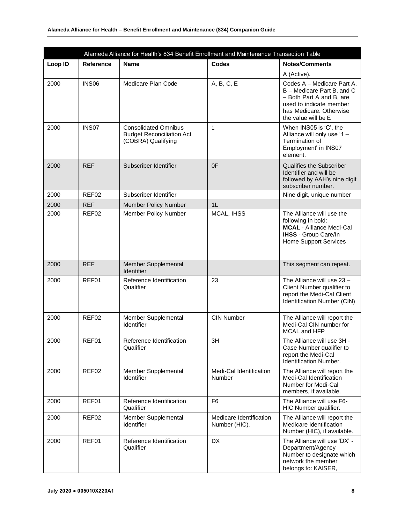| Alameda Alliance for Health's 834 Benefit Enrollment and Maintenance Transaction Table |                   |                                                                                       |                                          |                                                                                                                                                                   |  |  |  |  |
|----------------------------------------------------------------------------------------|-------------------|---------------------------------------------------------------------------------------|------------------------------------------|-------------------------------------------------------------------------------------------------------------------------------------------------------------------|--|--|--|--|
| Loop ID                                                                                | <b>Reference</b>  | <b>Name</b>                                                                           | <b>Codes</b>                             | <b>Notes/Comments</b>                                                                                                                                             |  |  |  |  |
|                                                                                        |                   |                                                                                       |                                          | A (Active).                                                                                                                                                       |  |  |  |  |
| 2000                                                                                   | <b>INS06</b>      | Medicare Plan Code                                                                    | A, B, C, E                               | Codes A - Medicare Part A,<br>B - Medicare Part B, and C<br>- Both Part A and B, are<br>used to indicate member<br>has Medicare. Otherwise<br>the value will be E |  |  |  |  |
| 2000                                                                                   | INS <sub>07</sub> | <b>Consolidated Omnibus</b><br><b>Budget Reconciliation Act</b><br>(COBRA) Qualifying | $\mathbf{1}$                             | When INS05 is 'C', the<br>Alliance will only use '1 -<br>Termination of<br>Employment' in INS07<br>element.                                                       |  |  |  |  |
| 2000                                                                                   | <b>REF</b>        | Subscriber Identifier                                                                 | 0 <sup>F</sup>                           | <b>Qualifies the Subscriber</b><br>Identifier and will be<br>followed by AAH's nine digit<br>subscriber number.                                                   |  |  |  |  |
| 2000                                                                                   | REF <sub>02</sub> | Subscriber Identifier                                                                 |                                          | Nine digit, unique number                                                                                                                                         |  |  |  |  |
| 2000                                                                                   | <b>REF</b>        | <b>Member Policy Number</b>                                                           | 1 <sub>L</sub>                           |                                                                                                                                                                   |  |  |  |  |
| 2000                                                                                   | REF <sub>02</sub> | Member Policy Number                                                                  | MCAL, IHSS                               | The Alliance will use the<br>following in bold:<br><b>MCAL</b> - Alliance Medi-Cal<br><b>IHSS</b> - Group Care/In<br><b>Home Support Services</b>                 |  |  |  |  |
| 2000                                                                                   | <b>REF</b>        | Member Supplemental<br>Identifier                                                     |                                          | This segment can repeat.                                                                                                                                          |  |  |  |  |
| 2000                                                                                   | REF01             | Reference Identification<br>Qualifier                                                 | 23                                       | The Alliance will use 23 -<br>Client Number qualifier to<br>report the Medi-Cal Client<br>Identification Number (CIN)                                             |  |  |  |  |
| 2000                                                                                   | REF <sub>02</sub> | Member Supplemental<br>Identifier                                                     | <b>CIN Number</b>                        | The Alliance will report the<br>Medi-Cal CIN number for<br>MCAL and HFP                                                                                           |  |  |  |  |
| 2000                                                                                   | REF01             | Reference Identification<br>Qualifier                                                 | 3H                                       | The Alliance will use 3H -<br>Case Number qualifier to<br>report the Medi-Cal<br><b>Identification Number.</b>                                                    |  |  |  |  |
| 2000                                                                                   | REF <sub>02</sub> | Member Supplemental<br><b>Identifier</b>                                              | Medi-Cal Identification<br>Number        | The Alliance will report the<br>Medi-Cal Identification<br>Number for Medi-Cal<br>members, if available.                                                          |  |  |  |  |
| 2000                                                                                   | REF01             | Reference Identification<br>Qualifier                                                 | F <sub>6</sub>                           | The Alliance will use F6-<br>HIC Number qualifier.                                                                                                                |  |  |  |  |
| 2000                                                                                   | REF02             | Member Supplemental<br>Identifier                                                     | Medicare Identification<br>Number (HIC). | The Alliance will report the<br>Medicare Identification<br>Number (HIC), if available.                                                                            |  |  |  |  |
| 2000                                                                                   | REF01             | Reference Identification<br>Qualifier                                                 | <b>DX</b>                                | The Alliance will use 'DX' -<br>Department/Agency<br>Number to designate which<br>network the member<br>belongs to: KAISER,                                       |  |  |  |  |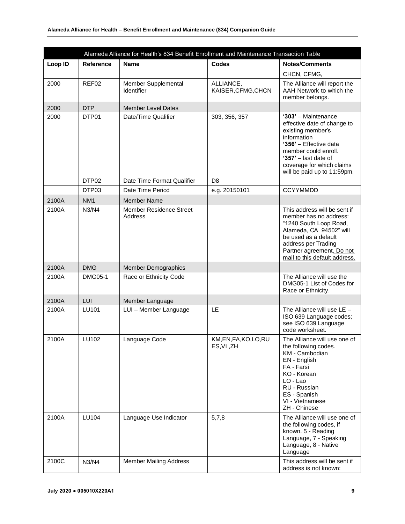| Alameda Alliance for Health's 834 Benefit Enrollment and Maintenance Transaction Table |                   |                                           |                                 |                                                                                                                                                                                                                                |  |  |  |  |
|----------------------------------------------------------------------------------------|-------------------|-------------------------------------------|---------------------------------|--------------------------------------------------------------------------------------------------------------------------------------------------------------------------------------------------------------------------------|--|--|--|--|
| Loop ID                                                                                | <b>Reference</b>  | <b>Name</b>                               | <b>Codes</b>                    | <b>Notes/Comments</b>                                                                                                                                                                                                          |  |  |  |  |
|                                                                                        |                   |                                           |                                 | CHCN, CFMG,                                                                                                                                                                                                                    |  |  |  |  |
| 2000                                                                                   | REF <sub>02</sub> | Member Supplemental<br>Identifier         | ALLIANCE,<br>KAISER, CFMG, CHCN | The Alliance will report the<br>AAH Network to which the<br>member belongs.                                                                                                                                                    |  |  |  |  |
| 2000                                                                                   | <b>DTP</b>        | <b>Member Level Dates</b>                 |                                 |                                                                                                                                                                                                                                |  |  |  |  |
| 2000                                                                                   | DTP01             | Date/Time Qualifier                       | 303, 356, 357                   | '303' - Maintenance<br>effective date of change to<br>existing member's<br>information<br>'356' - Effective data<br>member could enroll.<br>'357' $-$ last date of<br>coverage for which claims<br>will be paid up to 11:59pm. |  |  |  |  |
|                                                                                        | DTP02             | Date Time Format Qualifier                | D <sub>8</sub>                  |                                                                                                                                                                                                                                |  |  |  |  |
|                                                                                        | DTP03             | Date Time Period                          | e.g. 20150101                   | <b>CCYYMMDD</b>                                                                                                                                                                                                                |  |  |  |  |
| 2100A                                                                                  | NM <sub>1</sub>   | <b>Member Name</b>                        |                                 |                                                                                                                                                                                                                                |  |  |  |  |
| 2100A                                                                                  | N3/N4             | <b>Member Residence Street</b><br>Address |                                 | This address will be sent if<br>member has no address:<br>"1240 South Loop Road,<br>Alameda, CA 94502" will<br>be used as a default<br>address per Trading<br>Partner agreement. Do not<br>mail to this default address.       |  |  |  |  |
| 2100A                                                                                  | <b>DMG</b>        | <b>Member Demographics</b>                |                                 |                                                                                                                                                                                                                                |  |  |  |  |
| 2100A                                                                                  | <b>DMG05-1</b>    | Race or Ethnicity Code                    |                                 | The Alliance will use the<br>DMG05-1 List of Codes for<br>Race or Ethnicity.                                                                                                                                                   |  |  |  |  |
| 2100A                                                                                  | LUI               | Member Language                           |                                 |                                                                                                                                                                                                                                |  |  |  |  |
| 2100A                                                                                  | LU101             | LUI - Member Language                     | <b>LE</b>                       | The Alliance will use $LE$ -<br>ISO 639 Language codes;<br>see ISO 639 Language<br>code worksheet.                                                                                                                             |  |  |  |  |
| 2100A                                                                                  | LU102             | Language Code                             | KM,EN,FA,KO,LO,RU<br>ES, VI, ZH | The Alliance will use one of<br>the following codes.<br>KM - Cambodian<br>EN - English<br>FA - Farsi<br>KO - Korean<br>LO - Lao<br>RU - Russian<br>ES - Spanish<br>VI - Vietnamese<br>ZH - Chinese                             |  |  |  |  |
| 2100A                                                                                  | LU104             | Language Use Indicator                    | 5,7,8                           | The Alliance will use one of<br>the following codes, if<br>known. 5 - Reading<br>Language, 7 - Speaking<br>Language, 8 - Native<br>Language                                                                                    |  |  |  |  |
| 2100C                                                                                  | N3/N4             | <b>Member Mailing Address</b>             |                                 | This address will be sent if<br>address is not known:                                                                                                                                                                          |  |  |  |  |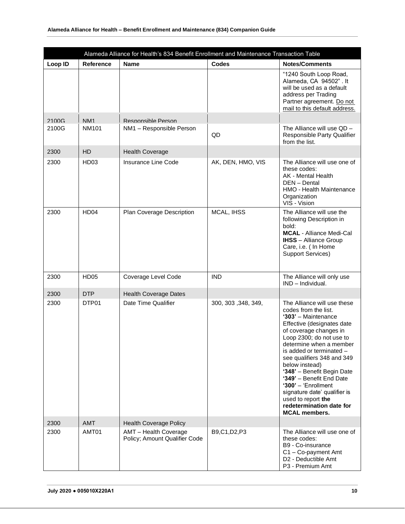| Alameda Alliance for Health's 834 Benefit Enrollment and Maintenance Transaction Table |                  |                                                        |                     |                                                                                                                                                                                                                                                                                                                                                                                                                                                                     |  |  |  |
|----------------------------------------------------------------------------------------|------------------|--------------------------------------------------------|---------------------|---------------------------------------------------------------------------------------------------------------------------------------------------------------------------------------------------------------------------------------------------------------------------------------------------------------------------------------------------------------------------------------------------------------------------------------------------------------------|--|--|--|
| Loop ID                                                                                | <b>Reference</b> | <b>Name</b>                                            | <b>Codes</b>        | <b>Notes/Comments</b>                                                                                                                                                                                                                                                                                                                                                                                                                                               |  |  |  |
|                                                                                        |                  |                                                        |                     | "1240 South Loop Road,<br>Alameda, CA 94502". It<br>will be used as a default<br>address per Trading<br>Partner agreement. Do not<br>mail to this default address.                                                                                                                                                                                                                                                                                                  |  |  |  |
| 2100G                                                                                  | NM <sub>1</sub>  | Responsible Person                                     |                     |                                                                                                                                                                                                                                                                                                                                                                                                                                                                     |  |  |  |
| 2100G                                                                                  | <b>NM101</b>     | NM1 - Responsible Person                               | QD                  | The Alliance will use QD -<br>Responsible Party Qualifier<br>from the list.                                                                                                                                                                                                                                                                                                                                                                                         |  |  |  |
| 2300                                                                                   | <b>HD</b>        | <b>Health Coverage</b>                                 |                     |                                                                                                                                                                                                                                                                                                                                                                                                                                                                     |  |  |  |
| 2300                                                                                   | HD03             | Insurance Line Code                                    | AK, DEN, HMO, VIS   | The Alliance will use one of<br>these codes:<br>AK - Mental Health<br>DEN - Dental<br><b>HMO - Health Maintenance</b><br>Organization<br>VIS - Vision                                                                                                                                                                                                                                                                                                               |  |  |  |
| 2300                                                                                   | HD <sub>04</sub> | Plan Coverage Description                              | MCAL, IHSS          | The Alliance will use the<br>following Description in<br>bold:<br><b>MCAL</b> - Alliance Medi-Cal<br><b>IHSS</b> - Alliance Group<br>Care, i.e. ( In Home<br>Support Services)                                                                                                                                                                                                                                                                                      |  |  |  |
| 2300                                                                                   | <b>HD05</b>      | Coverage Level Code                                    | <b>IND</b>          | The Alliance will only use<br>IND - Individual.                                                                                                                                                                                                                                                                                                                                                                                                                     |  |  |  |
| 2300                                                                                   | <b>DTP</b>       | <b>Health Coverage Dates</b>                           |                     |                                                                                                                                                                                                                                                                                                                                                                                                                                                                     |  |  |  |
| 2300                                                                                   | DTP01            | Date Time Qualifier                                    | 300, 303, 348, 349, | The Alliance will use these<br>codes from the list.<br>'303' - Maintenance<br>Effective (designates date<br>of coverage changes in<br>Loop 2300; do not use to<br>determine when a member<br>is added or terminated -<br>see qualifiers 348 and 349<br>below instead)<br>'348' - Benefit Begin Date<br>'349' - Benefit End Date<br>' $300'$ – 'Enrollment<br>signature date' qualifier is<br>used to report the<br>redetermination date for<br><b>MCAL members.</b> |  |  |  |
| 2300                                                                                   | <b>AMT</b>       | <b>Health Coverage Policy</b>                          |                     |                                                                                                                                                                                                                                                                                                                                                                                                                                                                     |  |  |  |
| 2300                                                                                   | AMT01            | AMT - Health Coverage<br>Policy; Amount Qualifier Code | B9,C1,D2,P3         | The Alliance will use one of<br>these codes:<br>B9 - Co-insurance<br>C1 - Co-payment Amt<br>D2 - Deductible Amt<br>P3 - Premium Amt                                                                                                                                                                                                                                                                                                                                 |  |  |  |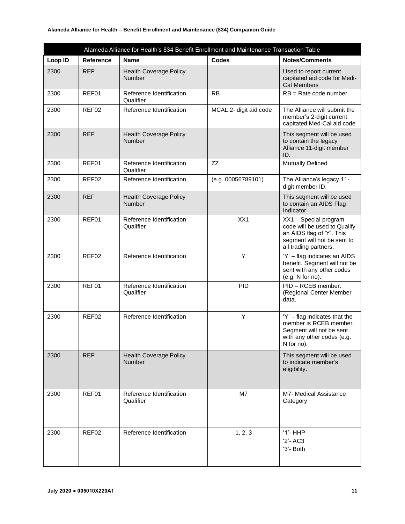#### **Alameda Alliance for Health – Benefit Enrollment and Maintenance (834) Companion Guide**

|         |                   | Alameda Alliance for Health's 834 Benefit Enrollment and Maintenance Transaction Table |                        |                                                                                                                                            |
|---------|-------------------|----------------------------------------------------------------------------------------|------------------------|--------------------------------------------------------------------------------------------------------------------------------------------|
| Loop ID | <b>Reference</b>  | <b>Name</b>                                                                            | Codes                  | <b>Notes/Comments</b>                                                                                                                      |
| 2300    | <b>REF</b>        | <b>Health Coverage Policy</b><br>Number                                                |                        | Used to report current<br>capitated aid code for Medi-<br><b>Cal Members</b>                                                               |
| 2300    | REF01             | Reference Identification<br>Qualifier                                                  | <b>RB</b>              | $RB = Rate code number$                                                                                                                    |
| 2300    | REF02             | Reference Identification                                                               | MCAL 2- digit aid code | The Alliance will submit the<br>member's 2-digit current<br>capitated Med-Cal aid code                                                     |
| 2300    | <b>REF</b>        | <b>Health Coverage Policy</b><br>Number                                                |                        | This segment will be used<br>to contain the legacy<br>Alliance 11-digit member<br>ID.                                                      |
| 2300    | REF01             | Reference Identification<br>Qualifier                                                  | <b>ZZ</b>              | <b>Mutually Defined</b>                                                                                                                    |
| 2300    | REF <sub>02</sub> | Reference Identification                                                               | (e.g. 00056789101)     | The Alliance's legacy 11-<br>digit member ID.                                                                                              |
| 2300    | <b>REF</b>        | <b>Health Coverage Policy</b><br><b>Number</b>                                         |                        | This segment will be used<br>to contain an AIDS Flag<br>Indicator                                                                          |
| 2300    | REF01             | Reference Identification<br>Qualifier                                                  | XX1                    | XX1 - Special program<br>code will be used to Qualify<br>an AIDS flag of 'Y'. This<br>segment will not be sent to<br>all trading partners. |
| 2300    | REF <sub>02</sub> | Reference Identification                                                               | Υ                      | 'Y' - flag indicates an AIDS<br>benefit. Segment will not be<br>sent with any other codes<br>(e.g. N for no).                              |
| 2300    | REF01             | Reference Identification<br>Qualifier                                                  | <b>PID</b>             | PID - RCEB member.<br>(Regional Center Member<br>data.                                                                                     |
| 2300    | REF <sub>02</sub> | Reference Identification                                                               | Υ                      | $Y'$ – flag indicates that the<br>member is RCEB member.<br>Segment will not be sent<br>with any other codes (e.g.<br>N for no).           |
| 2300    | <b>REF</b>        | <b>Health Coverage Policy</b><br><b>Number</b>                                         |                        | This segment will be used<br>to indicate member's<br>eligibility.                                                                          |
| 2300    | REF01             | Reference Identification<br>Qualifier                                                  | M7                     | <b>M7- Medical Assistance</b><br>Category                                                                                                  |
| 2300    | REF02             | Reference Identification                                                               | 1, 2, 3                | $'1'$ -HHP<br>$'2'$ -AC3<br>'3'- Both                                                                                                      |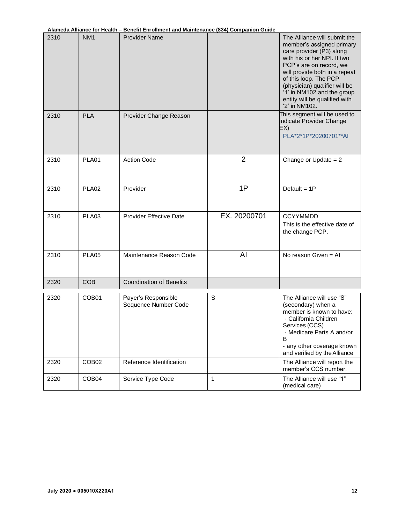|  | Alameda Alliance for Health – Benefit Enrollment and Maintenance (834) Companion Guide |  |
|--|----------------------------------------------------------------------------------------|--|
|  |                                                                                        |  |

| 2310 | NM <sub>1</sub>   | <b>Provider Name</b>                        |                | The Alliance will submit the<br>member's assigned primary<br>care provider (P3) along<br>with his or her NPI. If two<br>PCP's are on record, we<br>will provide both in a repeat<br>of this loop. The PCP<br>(physician) qualifier will be<br>'1' in NM102 and the group<br>entity will be qualified with<br>'2' in NM102. |
|------|-------------------|---------------------------------------------|----------------|----------------------------------------------------------------------------------------------------------------------------------------------------------------------------------------------------------------------------------------------------------------------------------------------------------------------------|
| 2310 | <b>PLA</b>        | Provider Change Reason                      |                | This segment will be used to<br>indicate Provider Change<br>EX)<br>PLA*2*1P*20200701**AI                                                                                                                                                                                                                                   |
| 2310 | PLA01             | <b>Action Code</b>                          | $\overline{2}$ | Change or Update $= 2$                                                                                                                                                                                                                                                                                                     |
| 2310 | PLA02             | Provider                                    | 1P             | Default = $1P$                                                                                                                                                                                                                                                                                                             |
| 2310 | PLA03             | <b>Provider Effective Date</b>              | EX. 20200701   | <b>CCYYMMDD</b><br>This is the effective date of<br>the change PCP.                                                                                                                                                                                                                                                        |
| 2310 | PLA05             | Maintenance Reason Code                     | AI             | No reason Given $=$ Al                                                                                                                                                                                                                                                                                                     |
| 2320 | <b>COB</b>        | <b>Coordination of Benefits</b>             |                |                                                                                                                                                                                                                                                                                                                            |
| 2320 | COB <sub>01</sub> | Payer's Responsible<br>Sequence Number Code | S              | The Alliance will use "S"<br>(secondary) when a<br>member is known to have:<br>- California Children<br>Services (CCS)<br>- Medicare Parts A and/or<br>B<br>- any other coverage known<br>and verified by the Alliance                                                                                                     |
| 2320 | COB <sub>02</sub> | Reference Identification                    |                | The Alliance will report the<br>member's CCS number.                                                                                                                                                                                                                                                                       |
| 2320 | COB <sub>04</sub> | Service Type Code                           | 1              | The Alliance will use "1"<br>(medical care)                                                                                                                                                                                                                                                                                |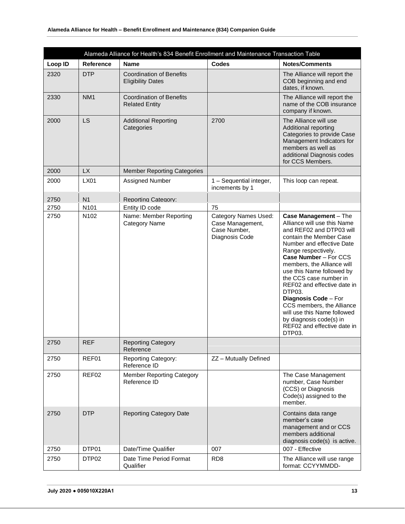| Alameda Alliance for Health's 834 Benefit Enrollment and Maintenance Transaction Table |                   |                                                             |                                                                                   |                                                                                                                                                                                                                                                                                                                                                                                                                                                                                |  |  |  |
|----------------------------------------------------------------------------------------|-------------------|-------------------------------------------------------------|-----------------------------------------------------------------------------------|--------------------------------------------------------------------------------------------------------------------------------------------------------------------------------------------------------------------------------------------------------------------------------------------------------------------------------------------------------------------------------------------------------------------------------------------------------------------------------|--|--|--|
| Loop ID                                                                                | <b>Reference</b>  | <b>Name</b>                                                 | <b>Codes</b>                                                                      | <b>Notes/Comments</b>                                                                                                                                                                                                                                                                                                                                                                                                                                                          |  |  |  |
| 2320                                                                                   | <b>DTP</b>        | <b>Coordination of Benefits</b><br><b>Eligibility Dates</b> |                                                                                   | The Alliance will report the<br>COB beginning and end<br>dates, if known.                                                                                                                                                                                                                                                                                                                                                                                                      |  |  |  |
| 2330                                                                                   | NM <sub>1</sub>   | <b>Coordination of Benefits</b><br><b>Related Entity</b>    |                                                                                   | The Alliance will report the<br>name of the COB insurance<br>company if known.                                                                                                                                                                                                                                                                                                                                                                                                 |  |  |  |
| 2000                                                                                   | LS                | <b>Additional Reporting</b><br>Categories                   | 2700                                                                              | The Alliance will use<br>Additional reporting<br>Categories to provide Case<br>Management Indicators for<br>members as well as<br>additional Diagnosis codes<br>for CCS Members.                                                                                                                                                                                                                                                                                               |  |  |  |
| 2000                                                                                   | <b>LX</b>         | <b>Member Reporting Categories</b>                          |                                                                                   |                                                                                                                                                                                                                                                                                                                                                                                                                                                                                |  |  |  |
| 2000                                                                                   | <b>LX01</b>       | Assigned Number                                             | 1 - Sequential integer,<br>increments by 1                                        | This loop can repeat.                                                                                                                                                                                                                                                                                                                                                                                                                                                          |  |  |  |
| 2750                                                                                   | N <sub>1</sub>    | <b>Reporting Category:</b>                                  |                                                                                   |                                                                                                                                                                                                                                                                                                                                                                                                                                                                                |  |  |  |
| 2750                                                                                   | N <sub>101</sub>  | Entity ID code                                              | 75                                                                                |                                                                                                                                                                                                                                                                                                                                                                                                                                                                                |  |  |  |
| 2750                                                                                   | N <sub>102</sub>  | Name: Member Reporting<br>Category Name                     | <b>Category Names Used:</b><br>Case Management,<br>Case Number,<br>Diagnosis Code | Case Management - The<br>Alliance will use this Name<br>and REF02 and DTP03 will<br>contain the Member Case<br>Number and effective Date<br>Range respectively.<br>Case Number - For CCS<br>members, the Alliance will<br>use this Name followed by<br>the CCS case number in<br>REF02 and effective date in<br>DTP03.<br>Diagnosis Code - For<br>CCS members, the Alliance<br>will use this Name followed<br>by diagnosis code(s) in<br>REF02 and effective date in<br>DTP03. |  |  |  |
| 2750                                                                                   | <b>REF</b>        | <b>Reporting Category</b><br>Reference                      |                                                                                   |                                                                                                                                                                                                                                                                                                                                                                                                                                                                                |  |  |  |
| 2750                                                                                   | REF01             | <b>Reporting Category:</b><br>Reference ID                  | ZZ - Mutually Defined                                                             |                                                                                                                                                                                                                                                                                                                                                                                                                                                                                |  |  |  |
| 2750                                                                                   | REF02             | <b>Member Reporting Category</b><br>Reference ID            |                                                                                   | The Case Management<br>number, Case Number<br>(CCS) or Diagnosis<br>Code(s) assigned to the<br>member.                                                                                                                                                                                                                                                                                                                                                                         |  |  |  |
| 2750                                                                                   | <b>DTP</b>        | <b>Reporting Category Date</b>                              |                                                                                   | Contains data range<br>member's case<br>management and or CCS<br>members additional<br>diagnosis code(s) is active.                                                                                                                                                                                                                                                                                                                                                            |  |  |  |
| 2750                                                                                   | DTP01             | Date/Time Qualifier                                         | 007                                                                               | 007 - Effective                                                                                                                                                                                                                                                                                                                                                                                                                                                                |  |  |  |
| 2750                                                                                   | DTP <sub>02</sub> | Date Time Period Format<br>Qualifier                        | RD <sub>8</sub>                                                                   | The Alliance will use range<br>format: CCYYMMDD-                                                                                                                                                                                                                                                                                                                                                                                                                               |  |  |  |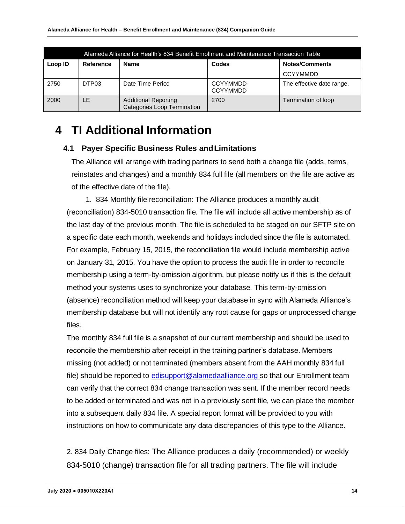|         | Alameda Alliance for Health's 834 Benefit Enrollment and Maintenance Transaction Table |                                                                   |                              |                           |  |  |  |  |  |
|---------|----------------------------------------------------------------------------------------|-------------------------------------------------------------------|------------------------------|---------------------------|--|--|--|--|--|
| Loop ID | Reference                                                                              | <b>Name</b>                                                       | Codes                        | <b>Notes/Comments</b>     |  |  |  |  |  |
|         |                                                                                        |                                                                   |                              | <b>CCYYMMDD</b>           |  |  |  |  |  |
| 2750    | DTP03                                                                                  | Date Time Period                                                  | CCYYMMDD-<br><b>CCYYMMDD</b> | The effective date range. |  |  |  |  |  |
| 2000    | LE                                                                                     | <b>Additional Reporting</b><br><b>Categories Loop Termination</b> | 2700                         | Termination of loop       |  |  |  |  |  |

# <span id="page-13-1"></span><span id="page-13-0"></span>**4 TI Additional Information**

#### **4.1 Payer Specific Business Rules andLimitations**

The Alliance will arrange with trading partners to send both a change file (adds, terms, reinstates and changes) and a monthly 834 full file (all members on the file are active as of the effective date of the file).

1. 834 Monthly file reconciliation: The Alliance produces a monthly audit (reconciliation) 834-5010 transaction file. The file will include all active membership as of the last day of the previous month. The file is scheduled to be staged on our SFTP site on a specific date each month, weekends and holidays included since the file is automated. For example, February 15, 2015, the reconciliation file would include membership active on January 31, 2015. You have the option to process the audit file in order to reconcile membership using a term-by-omission algorithm, but please notify us if this is the default method your systems uses to synchronize your database. This term-by-omission (absence) reconciliation method will keep your database in sync with Alameda Alliance's membership database but will not identify any root cause for gaps or unprocessed change files.

The monthly 834 full file is a snapshot of our current membership and should be used to reconcile the membership after receipt in the training partner's database. Members missing (not added) or not terminated (members absent from the AAH monthly 834 full file) should be reported to [edisupport@alamedaalliance.org](mailto:edisupport@alamedaalliance.org) so that our Enrollment team can verify that the correct 834 change transaction was sent. If the member record needs to be added or terminated and was not in a previously sent file, we can place the member into a subsequent daily 834 file. A special report format will be provided to you with instructions on how to communicate any data discrepancies of this type to the Alliance.

2. 834 Daily Change files: The Alliance produces a daily (recommended) or weekly 834-5010 (change) transaction file for all trading partners. The file will include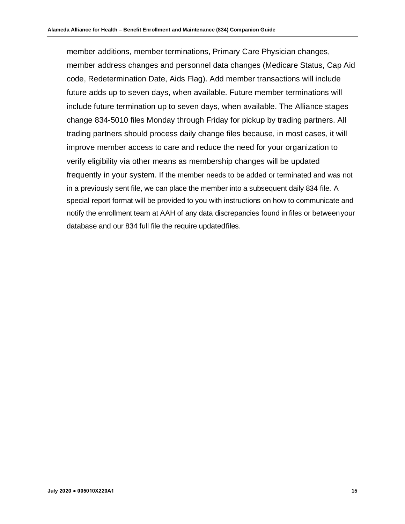member additions, member terminations, Primary Care Physician changes, member address changes and personnel data changes (Medicare Status, Cap Aid code, Redetermination Date, Aids Flag). Add member transactions will include future adds up to seven days, when available. Future member terminations will include future termination up to seven days, when available. The Alliance stages change 834-5010 files Monday through Friday for pickup by trading partners. All trading partners should process daily change files because, in most cases, it will improve member access to care and reduce the need for your organization to verify eligibility via other means as membership changes will be updated frequently in your system. If the member needs to be added or terminated and was not in a previously sent file, we can place the member into a subsequent daily 834 file. A special report format will be provided to you with instructions on how to communicate and notify the enrollment team at AAH of any data discrepancies found in files or betweenyour database and our 834 full file the require updatedfiles.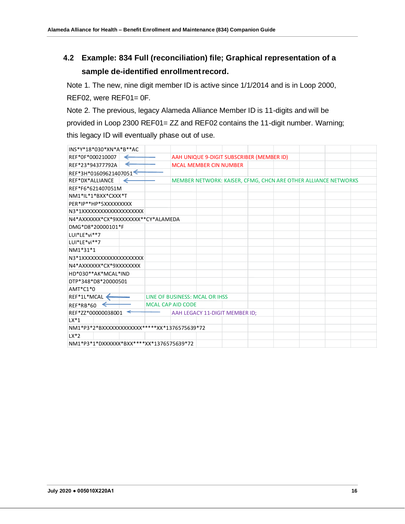# <span id="page-15-0"></span>**4.2 Example: 834 Full (reconciliation) file; Graphical representation of a sample de-identified enrollmentrecord.**

Note 1. The new, nine digit member ID is active since 1/1/2014 and is in Loop 2000, REF02, were REF01= 0F.

Note 2. The previous, legacy Alameda Alliance Member ID is 11-digits and will be provided in Loop 2300 REF01= ZZ and REF02 contains the 11-digit number. Warning; this legacy ID will eventually phase out of use.

| INS*Y*18*030*XN*A*B**AC                     |                                          |  |                                           |  |  |  |                                                                |  |
|---------------------------------------------|------------------------------------------|--|-------------------------------------------|--|--|--|----------------------------------------------------------------|--|
| REF*0F*000210007                            |                                          |  | AAH UNIQUE 9-DIGIT SUBSCRIBER (MEMBER ID) |  |  |  |                                                                |  |
| ←<br>REF*23*94377792A                       |                                          |  | <b>MCAL MEMBER CIN NUMBER</b>             |  |  |  |                                                                |  |
| REF*3H*01609621407051                       |                                          |  |                                           |  |  |  |                                                                |  |
| REF*DX*ALLIANCE<br>←                        |                                          |  |                                           |  |  |  | MEMBER NETWORK: KAISER, CFMG, CHCN ARE OTHER ALLIANCE NETWORKS |  |
| REF*F6*621407051M                           |                                          |  |                                           |  |  |  |                                                                |  |
| NM1*IL*1*BXX*CXXX*T                         |                                          |  |                                           |  |  |  |                                                                |  |
| PER*IP**HP*5XXXXXXXXX                       |                                          |  |                                           |  |  |  |                                                                |  |
| N3*1XXXXXXXXXXXXXXXXXXXX                    |                                          |  |                                           |  |  |  |                                                                |  |
| N4*AXXXXXX*CX*9XXXXXXXX**CY*ALAMEDA         |                                          |  |                                           |  |  |  |                                                                |  |
| DMG*D8*20000101*F                           |                                          |  |                                           |  |  |  |                                                                |  |
| LUI*LE*vi**7                                |                                          |  |                                           |  |  |  |                                                                |  |
| LUI*LE*vi**7                                |                                          |  |                                           |  |  |  |                                                                |  |
| NM1*31*1                                    |                                          |  |                                           |  |  |  |                                                                |  |
| N3*1XXXXXXXXXXXXXXXXXXXX                    |                                          |  |                                           |  |  |  |                                                                |  |
| N4*AXXXXXX*CX*9XXXXXXXX                     |                                          |  |                                           |  |  |  |                                                                |  |
| HD*030**AK*MCAL*IND                         |                                          |  |                                           |  |  |  |                                                                |  |
| DTP*348*D8*20000501                         |                                          |  |                                           |  |  |  |                                                                |  |
| $AMT*C1*0$                                  |                                          |  |                                           |  |  |  |                                                                |  |
| REF*1L*MCAL                                 |                                          |  | LINE OF BUSINESS: MCAL OR IHSS            |  |  |  |                                                                |  |
| REF*RB*60<br>$\leftarrow$                   | <b>MCAL CAP AID CODE</b>                 |  |                                           |  |  |  |                                                                |  |
| REF*ZZ*00000038001<br>↞                     |                                          |  | AAH LEGACY 11-DIGIT MEMBER ID;            |  |  |  |                                                                |  |
| $LX*1$                                      |                                          |  |                                           |  |  |  |                                                                |  |
| NM1*P3*2*BXXXXXXXXXXXX*****XX*1376575639*72 |                                          |  |                                           |  |  |  |                                                                |  |
| $LX*2$                                      |                                          |  |                                           |  |  |  |                                                                |  |
|                                             | NM1*P3*1*DXXXXXX*BXX****XX*1376575639*72 |  |                                           |  |  |  |                                                                |  |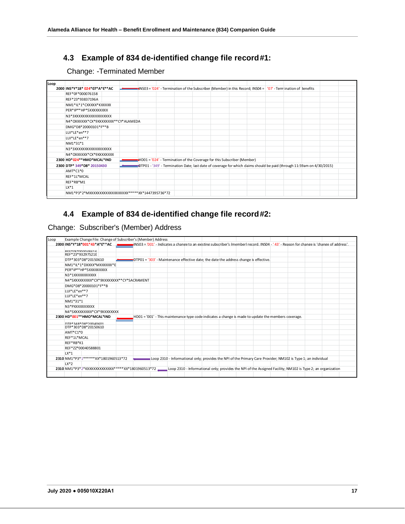## **4.3 Example of 834 de-identified change file record#1:**

## Change: -Terminated Member

<span id="page-16-0"></span>

| Loop |                                                   |  |                                                                                                                          |  |  |  |  |  |
|------|---------------------------------------------------|--|--------------------------------------------------------------------------------------------------------------------------|--|--|--|--|--|
|      | 2000 INS*Y*18* 024*07*A*E**AC                     |  | NS03 = '024' - Termination of the Subscriber (Member) in this Record; INS04 = '07' - Termination of Benefits والمستطيعين |  |  |  |  |  |
|      | REF*0F*000076158                                  |  |                                                                                                                          |  |  |  |  |  |
|      | REF*23*93837196A                                  |  |                                                                                                                          |  |  |  |  |  |
|      | NM1*IL*1*CXXXXX*KXXXXX                            |  |                                                                                                                          |  |  |  |  |  |
|      | PER*IP**HP*5XXXXXXXXX                             |  |                                                                                                                          |  |  |  |  |  |
|      | N3*3XXXXXXXXXXXXXXXXXX                            |  |                                                                                                                          |  |  |  |  |  |
|      | N4*OXXXXXX*CX*9XXXXXXXX**CY*ALAMEDA               |  |                                                                                                                          |  |  |  |  |  |
|      | DMG*D8*20000101*F**B                              |  |                                                                                                                          |  |  |  |  |  |
|      | LUI*LE*en**7                                      |  |                                                                                                                          |  |  |  |  |  |
|      | LUI*LE*en**7                                      |  |                                                                                                                          |  |  |  |  |  |
|      | NM1*31*1                                          |  |                                                                                                                          |  |  |  |  |  |
|      | N3*3XXXXXXXXXXXXXXXXXX                            |  |                                                                                                                          |  |  |  |  |  |
|      | N4*OXXXXXX*CX*9XXXXXXXX                           |  |                                                                                                                          |  |  |  |  |  |
|      | 2300 HD*024**HMO*MCAL*IND                         |  | HD01 = '024' - Termination of the Coverage for this Subscriber (Member)                                                  |  |  |  |  |  |
|      | 2300 DTP* 349*D8* 20150430                        |  | DTP01 - '349' - Termination Date; last date of coverage for which claims should be paid (through 11:59am on 4/30/2015)   |  |  |  |  |  |
|      | AMT*C1*0                                          |  |                                                                                                                          |  |  |  |  |  |
|      | REF*1L*MCAL                                       |  |                                                                                                                          |  |  |  |  |  |
|      | REF*RB*M1                                         |  |                                                                                                                          |  |  |  |  |  |
|      | $LX*1$                                            |  |                                                                                                                          |  |  |  |  |  |
|      | NM1*P3*2*MXXXXXXXXXXXXXXXXXX*****XX*1447395736*72 |  |                                                                                                                          |  |  |  |  |  |
|      |                                                   |  |                                                                                                                          |  |  |  |  |  |

## <span id="page-16-1"></span>**4.4 Example of 834 de-identified change file record#2:**

Change: Subscriber's (Member) Address

| Loop | Example Change File: Change of Subscriber's (Member) Address                                                                                                                               |  |  |  |  |  |                                                                                                             |  |  |  |  |  |  |
|------|--------------------------------------------------------------------------------------------------------------------------------------------------------------------------------------------|--|--|--|--|--|-------------------------------------------------------------------------------------------------------------|--|--|--|--|--|--|
|      | 2000 INS*Y*18*001*43*A*E**AC (Change of address', INS03 = '001' - Indicates a change to an existing subscriber's (member) record. INS04 - '43' - Reason for change is 'change of address'. |  |  |  |  |  |                                                                                                             |  |  |  |  |  |  |
|      | DEE*OE*OOOO49616                                                                                                                                                                           |  |  |  |  |  |                                                                                                             |  |  |  |  |  |  |
|      | REF*23*93297521E                                                                                                                                                                           |  |  |  |  |  |                                                                                                             |  |  |  |  |  |  |
|      | DTP*303*D8*20150610                                                                                                                                                                        |  |  |  |  |  | DTP01 = '303' - Maintenance effective date; the date the address change is effective.                       |  |  |  |  |  |  |
|      | NM1*IL*1*DXXXX*MXXXXXX*E                                                                                                                                                                   |  |  |  |  |  |                                                                                                             |  |  |  |  |  |  |
|      | PFR*IP**HP*5XXXXXXXXX                                                                                                                                                                      |  |  |  |  |  |                                                                                                             |  |  |  |  |  |  |
|      | N3*1XXXXXXXXXX                                                                                                                                                                             |  |  |  |  |  |                                                                                                             |  |  |  |  |  |  |
|      | N4*SXXXXXXXXX*CX*9XXXXXXXX**CY*SACRAMENT                                                                                                                                                   |  |  |  |  |  |                                                                                                             |  |  |  |  |  |  |
|      | DMG*D8*20000101*F**B                                                                                                                                                                       |  |  |  |  |  |                                                                                                             |  |  |  |  |  |  |
|      | LUI*LF*en**7                                                                                                                                                                               |  |  |  |  |  |                                                                                                             |  |  |  |  |  |  |
|      | LUI*LF*en**7                                                                                                                                                                               |  |  |  |  |  |                                                                                                             |  |  |  |  |  |  |
|      | NM1*31*1                                                                                                                                                                                   |  |  |  |  |  |                                                                                                             |  |  |  |  |  |  |
|      | N3*PXXXXXXXXXX                                                                                                                                                                             |  |  |  |  |  |                                                                                                             |  |  |  |  |  |  |
|      | N4*SXXXXXXXXX*CX*9XXXXXXXX                                                                                                                                                                 |  |  |  |  |  |                                                                                                             |  |  |  |  |  |  |
|      | 2300 HD*001**HMO*MCAL*IND                                                                                                                                                                  |  |  |  |  |  | HD01 = '001' - This maintenance type code indicates a change is made to update the members coverage.        |  |  |  |  |  |  |
|      | DTD*249*D9*20040601                                                                                                                                                                        |  |  |  |  |  |                                                                                                             |  |  |  |  |  |  |
|      | DTP*303*D8*20150610                                                                                                                                                                        |  |  |  |  |  |                                                                                                             |  |  |  |  |  |  |
|      | AMT*C1*0                                                                                                                                                                                   |  |  |  |  |  |                                                                                                             |  |  |  |  |  |  |
|      | RFF*1L*MCAL                                                                                                                                                                                |  |  |  |  |  |                                                                                                             |  |  |  |  |  |  |
|      | RFF*RB*K1                                                                                                                                                                                  |  |  |  |  |  |                                                                                                             |  |  |  |  |  |  |
|      | REF*ZZ*00040588801                                                                                                                                                                         |  |  |  |  |  |                                                                                                             |  |  |  |  |  |  |
|      | $LX*1$                                                                                                                                                                                     |  |  |  |  |  |                                                                                                             |  |  |  |  |  |  |
|      | 2310 NM1*P3*1******XX*1801960513*72<br>Loop 2310 - Informational only; provides the NPI of the Primary Care Provider; NM102 is Type 1; an individual                                       |  |  |  |  |  |                                                                                                             |  |  |  |  |  |  |
|      | $LX*2$                                                                                                                                                                                     |  |  |  |  |  |                                                                                                             |  |  |  |  |  |  |
|      | 2310 NM1*P3*2*KXXXXXXXXXXXX*****XX*1801960513*72                                                                                                                                           |  |  |  |  |  | Loop 2310 - Informational only; provides the NPI of the Assigned Facility; NM102 is Type 2; an organization |  |  |  |  |  |  |
|      |                                                                                                                                                                                            |  |  |  |  |  |                                                                                                             |  |  |  |  |  |  |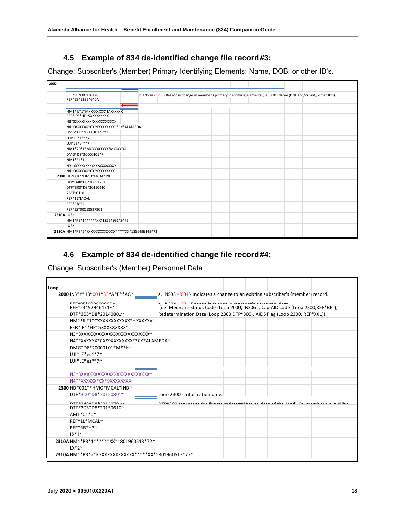## **4.5 Example of 834 de-identified change file record#3:**

<span id="page-17-0"></span>Change: Subscriber's (Member) Primary Identifying Elements: Name, DOB, or other ID's.

| Loop       |                                                   |  |  |                                                                                                                               |  |  |  |  |  |
|------------|---------------------------------------------------|--|--|-------------------------------------------------------------------------------------------------------------------------------|--|--|--|--|--|
|            |                                                   |  |  |                                                                                                                               |  |  |  |  |  |
|            | REF*0F*000136478                                  |  |  | b. INS04 - '25' - Reason is change in member's primary identifying elements (i.e. DOB, Name (first and/or last), other ID's). |  |  |  |  |  |
|            | REF*23*92354640A                                  |  |  |                                                                                                                               |  |  |  |  |  |
|            |                                                   |  |  |                                                                                                                               |  |  |  |  |  |
|            | NM1*IL*1*MXXXXXXX*MXXXXX                          |  |  |                                                                                                                               |  |  |  |  |  |
|            | PER*IP**HP*5XXXXXXXX                              |  |  |                                                                                                                               |  |  |  |  |  |
|            | N3*3XXXXXXXXXXXXXXXXXXXX                          |  |  |                                                                                                                               |  |  |  |  |  |
|            | N4*OXXXXXX*CX*9XXXXXXXX**CY*ALAMEDA               |  |  |                                                                                                                               |  |  |  |  |  |
|            | DMG*D8*20000101*F**B                              |  |  |                                                                                                                               |  |  |  |  |  |
|            | LUI*LE*en**7                                      |  |  |                                                                                                                               |  |  |  |  |  |
|            | LUI*LE*en**7                                      |  |  |                                                                                                                               |  |  |  |  |  |
|            | NM1*70*1*MXXXXXXXX*MXXXXX                         |  |  |                                                                                                                               |  |  |  |  |  |
|            | DMG*D8*20000101*F                                 |  |  |                                                                                                                               |  |  |  |  |  |
|            | NM1*31*1                                          |  |  |                                                                                                                               |  |  |  |  |  |
|            | N3*3XXXXXXXXXXXXXXXXXXXX                          |  |  |                                                                                                                               |  |  |  |  |  |
|            | N4*OXXXXXX*CX*9XXXXXXXX                           |  |  |                                                                                                                               |  |  |  |  |  |
|            | 2300 HD*001**HMO*MCAL*IND                         |  |  |                                                                                                                               |  |  |  |  |  |
|            | DTP*348*D8*20091201                               |  |  |                                                                                                                               |  |  |  |  |  |
|            | DTP*303*D8*20150610                               |  |  |                                                                                                                               |  |  |  |  |  |
|            | AMT*C1*0                                          |  |  |                                                                                                                               |  |  |  |  |  |
|            | REF*1L*MCAL                                       |  |  |                                                                                                                               |  |  |  |  |  |
|            | REF*RB*34                                         |  |  |                                                                                                                               |  |  |  |  |  |
|            | REF*ZZ*00018587801                                |  |  |                                                                                                                               |  |  |  |  |  |
| 2310A LX*1 |                                                   |  |  |                                                                                                                               |  |  |  |  |  |
|            | NM1*P3*1******XX*1356499149*72                    |  |  |                                                                                                                               |  |  |  |  |  |
|            | $LX*2$                                            |  |  |                                                                                                                               |  |  |  |  |  |
|            | 2310A NM1*P3*2*KXXXXXXXXXXXX*****XX*1356499149*72 |  |  |                                                                                                                               |  |  |  |  |  |

## <span id="page-17-1"></span>**4.6 Example of 834 de-identified change file record#4:**

Change: Subscriber's (Member) Personnel Data

| Loop |                                       |  |                               |                                                                                   |                                                                   |  |  |
|------|---------------------------------------|--|-------------------------------|-----------------------------------------------------------------------------------|-------------------------------------------------------------------|--|--|
|      | 2000 INS*Y*18*001*33*A*E**AC~         |  |                               | a. INS03 = '001'- Indicates a change to an existing subscriber's (member) record. |                                                                   |  |  |
|      |                                       |  |                               | b INICOA 1.331. Besson is chonge in momborie norsemeal data                       |                                                                   |  |  |
|      | REF*23*92946471F ~                    |  |                               | (i.e. Medicare Status Code (Loop 2000, INS06), Cap AID code (Loop 2300, REF*RB),  |                                                                   |  |  |
|      | DTP*303*D8*20140801~                  |  |                               | Redetermination Date (Loop 2300 DTP*300), AIDS Flag (Loop 2300, REF*XX1)).        |                                                                   |  |  |
|      | NM1*IL*1*CXXXXXXXXXXXX*HXXXXXX        |  |                               |                                                                                   |                                                                   |  |  |
|      | PER*IP**HP*5XXXXXXXXX~                |  |                               |                                                                                   |                                                                   |  |  |
|      | N3*3XXXXXXXXXXXXXXXXXXXXXXXXXX        |  |                               |                                                                                   |                                                                   |  |  |
|      | N4*FXXXXXX*CX*9XXXXXXXX**CY*ALAMEDA~  |  |                               |                                                                                   |                                                                   |  |  |
|      | DMG*D8*20000101*M**H~                 |  |                               |                                                                                   |                                                                   |  |  |
|      | $LUI*LE*es**7"$                       |  |                               |                                                                                   |                                                                   |  |  |
|      | $LUI*LE*es**7"$                       |  |                               |                                                                                   |                                                                   |  |  |
|      |                                       |  |                               |                                                                                   |                                                                   |  |  |
|      | N3*3XXXXXXXXXXXXXXXXXXXXXXXXXX        |  |                               |                                                                                   |                                                                   |  |  |
|      | N4*FXXXXXX*CX*9XXXXXXXX~              |  |                               |                                                                                   |                                                                   |  |  |
|      | 2300 HD*001**HMO*MCAL*IND~            |  |                               |                                                                                   |                                                                   |  |  |
|      | DTP*300*D8*20150801~                  |  | Loop 2300 - Information only: |                                                                                   |                                                                   |  |  |
|      | $n+2$                                 |  |                               |                                                                                   | future redetermination data of the Medi. Cal memberle eligibility |  |  |
|      | DTP*303*D8*20150610~                  |  |                               |                                                                                   |                                                                   |  |  |
|      | $AMT*C1*0^{\sim}$                     |  |                               |                                                                                   |                                                                   |  |  |
|      | REF*1L*MCAL~                          |  |                               |                                                                                   |                                                                   |  |  |
|      | REF*RB*H3~                            |  |                               |                                                                                   |                                                                   |  |  |
|      | $LX^*1$ ~                             |  |                               |                                                                                   |                                                                   |  |  |
|      | 2310A NM1*P3*1******XX*1801960513*72~ |  |                               |                                                                                   |                                                                   |  |  |
|      | $LX^*2^{\sim}$                        |  |                               |                                                                                   |                                                                   |  |  |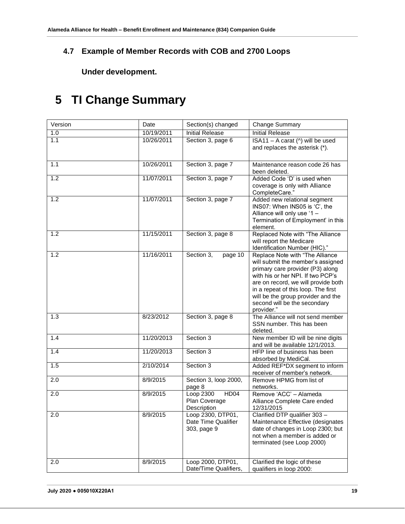## <span id="page-18-0"></span>**4.7 Example of Member Records with COB and 2700 Loops**

**Under development.**

# <span id="page-18-2"></span><span id="page-18-1"></span>**5 TI Change Summary**

| Version | Date       | Section(s) changed                                      | <b>Change Summary</b>                                                                                                                                                                                                                                                                                           |  |  |
|---------|------------|---------------------------------------------------------|-----------------------------------------------------------------------------------------------------------------------------------------------------------------------------------------------------------------------------------------------------------------------------------------------------------------|--|--|
| 1.0     | 10/19/2011 | <b>Initial Release</b>                                  | <b>Initial Release</b>                                                                                                                                                                                                                                                                                          |  |  |
| 1.1     | 10/26/2011 | Section 3, page 6                                       | ISA11 - A carat (^) will be used<br>and replaces the asterisk (*).                                                                                                                                                                                                                                              |  |  |
| 1.1     | 10/26/2011 | Section 3, page 7                                       | Maintenance reason code 26 has<br>been deleted.                                                                                                                                                                                                                                                                 |  |  |
| 1.2     | 11/07/2011 | Section 3, page 7                                       | Added Code 'D' is used when<br>coverage is only with Alliance<br>CompleteCare."                                                                                                                                                                                                                                 |  |  |
| 1.2     | 11/07/2011 | Section 3, page 7                                       | Added new relational segment<br>INS07: When INS05 is 'C', the<br>Alliance will only use '1 -<br>Termination of Employment' in this<br>element.                                                                                                                                                                  |  |  |
| 1.2     | 11/15/2011 | Section 3, page 8                                       | Replaced Note with "The Alliance<br>will report the Medicare<br>Identification Number (HIC)."                                                                                                                                                                                                                   |  |  |
| 1.2     | 11/16/2011 | Section 3,<br>page 10                                   | Replace Note with "The Alliance<br>will submit the member's assigned<br>primary care provider (P3) along<br>with his or her NPI. If two PCP's<br>are on record, we will provide both<br>in a repeat of this loop. The first<br>will be the group provider and the<br>second will be the secondary<br>provider." |  |  |
| 1.3     | 8/23/2012  | Section 3, page 8                                       | The Alliance will not send member<br>SSN number. This has been<br>deleted.                                                                                                                                                                                                                                      |  |  |
| 1.4     | 11/20/2013 | Section 3                                               | New member ID will be nine digits<br>and will be available 12/1/2013.                                                                                                                                                                                                                                           |  |  |
| 1.4     | 11/20/2013 | Section 3                                               | HFP line of business has been<br>absorbed by MediCal.                                                                                                                                                                                                                                                           |  |  |
| 1.5     | 2/10/2014  | Section 3                                               | Added REF*DX segment to inform<br>receiver of member's network.                                                                                                                                                                                                                                                 |  |  |
| 2.0     | 8/9/2015   | Section 3, loop 2000,<br>page 8                         | Remove HPMG from list of<br>networks.                                                                                                                                                                                                                                                                           |  |  |
| 2.0     | 8/9/2015   | HD04<br>Loop 2300<br>Plan Coverage<br>Description       | Remove 'ACC' - Alameda<br>Alliance Complete Care ended<br>12/31/2015                                                                                                                                                                                                                                            |  |  |
| 2.0     | 8/9/2015   | Loop 2300, DTP01,<br>Date Time Qualifier<br>303, page 9 | Clarified DTP qualifier 303 -<br>Maintenance Effective (designates<br>date of changes in Loop 2300; but<br>not when a member is added or<br>terminated (see Loop 2000)                                                                                                                                          |  |  |
| 2.0     | 8/9/2015   | Loop 2000, DTP01,<br>Date/Time Qualifiers,              | Clarified the logic of these<br>qualifiers in loop 2000:                                                                                                                                                                                                                                                        |  |  |